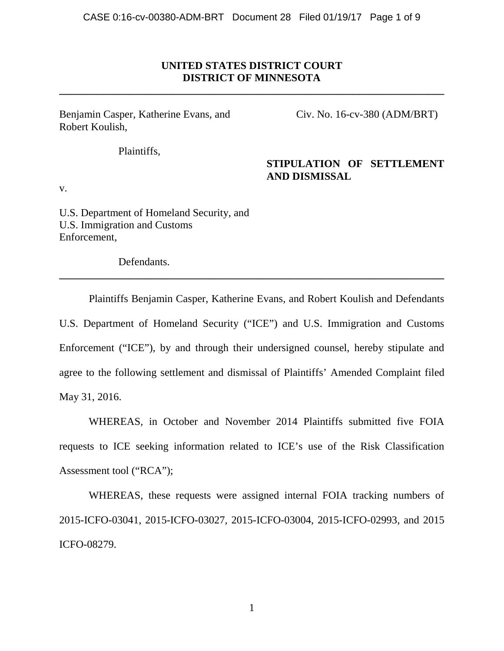## **UNITED STATES DISTRICT COURT DISTRICT OF MINNESOTA**

**\_\_\_\_\_\_\_\_\_\_\_\_\_\_\_\_\_\_\_\_\_\_\_\_\_\_\_\_\_\_\_\_\_\_\_\_\_\_\_\_\_\_\_\_\_\_\_\_\_\_\_\_\_\_\_\_\_\_\_\_\_\_\_\_\_\_\_\_\_\_\_\_**

Benjamin Casper, Katherine Evans, and Civ. No. 16-cv-380 (ADM/BRT) Robert Koulish,

## Plaintiffs,

## **STIPULATION OF SETTLEMENT AND DISMISSAL**

v.

U.S. Department of Homeland Security, and U.S. Immigration and Customs Enforcement,

Defendants.

Plaintiffs Benjamin Casper, Katherine Evans, and Robert Koulish and Defendants U.S. Department of Homeland Security ("ICE") and U.S. Immigration and Customs Enforcement ("ICE"), by and through their undersigned counsel, hereby stipulate and agree to the following settlement and dismissal of Plaintiffs' Amended Complaint filed May 31, 2016.

**\_\_\_\_\_\_\_\_\_\_\_\_\_\_\_\_\_\_\_\_\_\_\_\_\_\_\_\_\_\_\_\_\_\_\_\_\_\_\_\_\_\_\_\_\_\_\_\_\_\_\_\_\_\_\_\_\_\_\_\_\_\_\_\_\_\_\_\_\_\_\_\_**

WHEREAS, in October and November 2014 Plaintiffs submitted five FOIA requests to ICE seeking information related to ICE's use of the Risk Classification Assessment tool ("RCA");

WHEREAS, these requests were assigned internal FOIA tracking numbers of 2015-ICFO-03041, 2015-ICFO-03027, 2015-ICFO-03004, 2015-ICFO-02993, and 2015 ICFO-08279.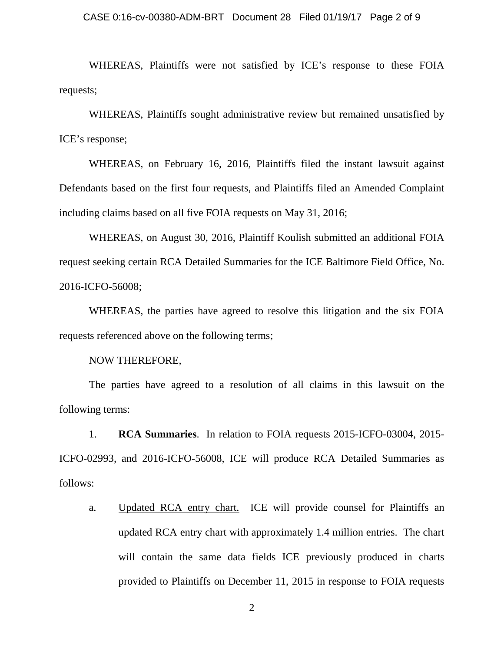### CASE 0:16-cv-00380-ADM-BRT Document 28 Filed 01/19/17 Page 2 of 9

WHEREAS, Plaintiffs were not satisfied by ICE's response to these FOIA requests;

WHEREAS, Plaintiffs sought administrative review but remained unsatisfied by ICE's response;

WHEREAS, on February 16, 2016, Plaintiffs filed the instant lawsuit against Defendants based on the first four requests, and Plaintiffs filed an Amended Complaint including claims based on all five FOIA requests on May 31, 2016;

WHEREAS, on August 30, 2016, Plaintiff Koulish submitted an additional FOIA request seeking certain RCA Detailed Summaries for the ICE Baltimore Field Office, No. 2016-ICFO-56008;

WHEREAS, the parties have agreed to resolve this litigation and the six FOIA requests referenced above on the following terms;

NOW THEREFORE,

The parties have agreed to a resolution of all claims in this lawsuit on the following terms:

1. **RCA Summaries**. In relation to FOIA requests 2015-ICFO-03004, 2015- ICFO-02993, and 2016-ICFO-56008, ICE will produce RCA Detailed Summaries as follows:

a. Updated RCA entry chart. ICE will provide counsel for Plaintiffs an updated RCA entry chart with approximately 1.4 million entries. The chart will contain the same data fields ICE previously produced in charts provided to Plaintiffs on December 11, 2015 in response to FOIA requests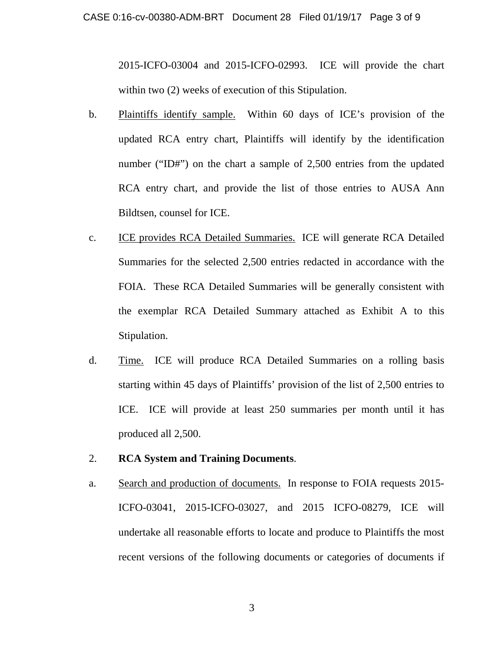2015-ICFO-03004 and 2015-ICFO-02993. ICE will provide the chart within two (2) weeks of execution of this Stipulation.

- b. Plaintiffs identify sample. Within 60 days of ICE's provision of the updated RCA entry chart, Plaintiffs will identify by the identification number ("ID#") on the chart a sample of 2,500 entries from the updated RCA entry chart, and provide the list of those entries to AUSA Ann Bildtsen, counsel for ICE.
- c. ICE provides RCA Detailed Summaries. ICE will generate RCA Detailed Summaries for the selected 2,500 entries redacted in accordance with the FOIA. These RCA Detailed Summaries will be generally consistent with the exemplar RCA Detailed Summary attached as Exhibit A to this Stipulation.
- d. Time. ICE will produce RCA Detailed Summaries on a rolling basis starting within 45 days of Plaintiffs' provision of the list of 2,500 entries to ICE. ICE will provide at least 250 summaries per month until it has produced all 2,500.
- 2. **RCA System and Training Documents**.
- a. Search and production of documents. In response to FOIA requests 2015- ICFO-03041, 2015-ICFO-03027, and 2015 ICFO-08279, ICE will undertake all reasonable efforts to locate and produce to Plaintiffs the most recent versions of the following documents or categories of documents if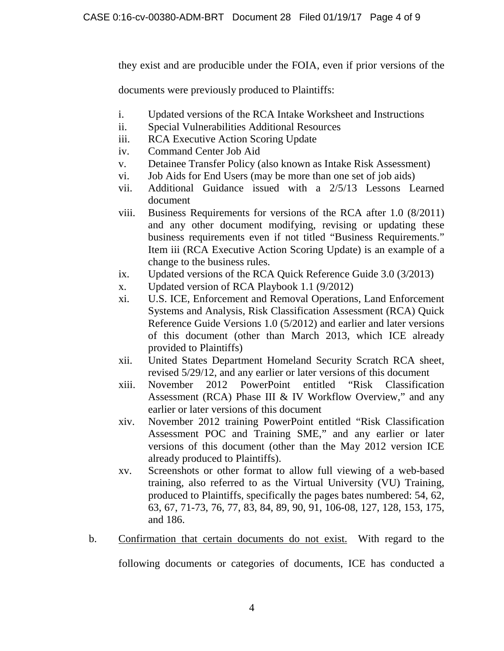they exist and are producible under the FOIA, even if prior versions of the

documents were previously produced to Plaintiffs:

- i. Updated versions of the RCA Intake Worksheet and Instructions
- ii. Special Vulnerabilities Additional Resources
- iii. RCA Executive Action Scoring Update
- iv. Command Center Job Aid
- v. Detainee Transfer Policy (also known as Intake Risk Assessment)
- vi. Job Aids for End Users (may be more than one set of job aids)
- vii. Additional Guidance issued with a 2/5/13 Lessons Learned document
- viii. Business Requirements for versions of the RCA after 1.0 (8/2011) and any other document modifying, revising or updating these business requirements even if not titled "Business Requirements." Item iii (RCA Executive Action Scoring Update) is an example of a change to the business rules.
- ix. Updated versions of the RCA Quick Reference Guide 3.0 (3/2013)
- x. Updated version of RCA Playbook 1.1 (9/2012)
- xi. U.S. ICE, Enforcement and Removal Operations, Land Enforcement Systems and Analysis, Risk Classification Assessment (RCA) Quick Reference Guide Versions 1.0 (5/2012) and earlier and later versions of this document (other than March 2013, which ICE already provided to Plaintiffs)
- xii. United States Department Homeland Security Scratch RCA sheet, revised 5/29/12, and any earlier or later versions of this document
- xiii. November 2012 PowerPoint entitled "Risk Classification Assessment (RCA) Phase III & IV Workflow Overview," and any earlier or later versions of this document
- xiv. November 2012 training PowerPoint entitled "Risk Classification Assessment POC and Training SME," and any earlier or later versions of this document (other than the May 2012 version ICE already produced to Plaintiffs).
- xv. Screenshots or other format to allow full viewing of a web-based training, also referred to as the Virtual University (VU) Training, produced to Plaintiffs, specifically the pages bates numbered: 54, 62, 63, 67, 71-73, 76, 77, 83, 84, 89, 90, 91, 106-08, 127, 128, 153, 175, and 186.
- b. Confirmation that certain documents do not exist.With regard to the

following documents or categories of documents, ICE has conducted a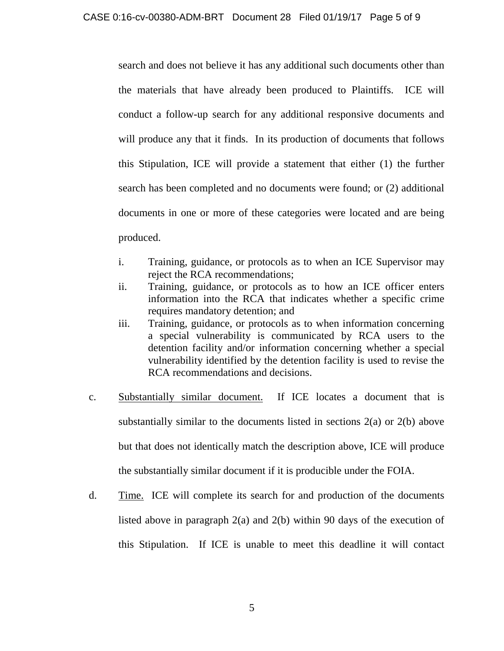search and does not believe it has any additional such documents other than the materials that have already been produced to Plaintiffs. ICE will conduct a follow-up search for any additional responsive documents and will produce any that it finds. In its production of documents that follows this Stipulation, ICE will provide a statement that either (1) the further search has been completed and no documents were found; or (2) additional documents in one or more of these categories were located and are being produced.

- i. Training, guidance, or protocols as to when an ICE Supervisor may reject the RCA recommendations;
- ii. Training, guidance, or protocols as to how an ICE officer enters information into the RCA that indicates whether a specific crime requires mandatory detention; and
- iii. Training, guidance, or protocols as to when information concerning a special vulnerability is communicated by RCA users to the detention facility and/or information concerning whether a special vulnerability identified by the detention facility is used to revise the RCA recommendations and decisions.
- c. Substantially similar document. If ICE locates a document that is substantially similar to the documents listed in sections 2(a) or 2(b) above but that does not identically match the description above, ICE will produce the substantially similar document if it is producible under the FOIA.
- d. Time. ICE will complete its search for and production of the documents listed above in paragraph 2(a) and 2(b) within 90 days of the execution of this Stipulation. If ICE is unable to meet this deadline it will contact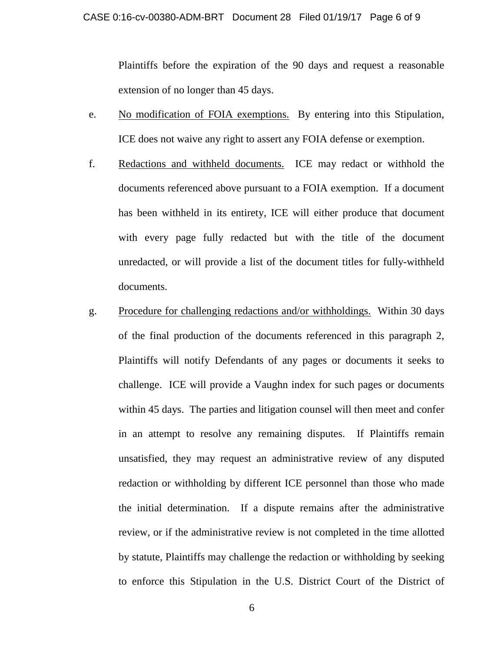### CASE 0:16-cv-00380-ADM-BRT Document 28 Filed 01/19/17 Page 6 of 9

Plaintiffs before the expiration of the 90 days and request a reasonable extension of no longer than 45 days.

- e. No modification of FOIA exemptions. By entering into this Stipulation, ICE does not waive any right to assert any FOIA defense or exemption.
- f. Redactions and withheld documents. ICE may redact or withhold the documents referenced above pursuant to a FOIA exemption. If a document has been withheld in its entirety, ICE will either produce that document with every page fully redacted but with the title of the document unredacted, or will provide a list of the document titles for fully-withheld documents.
- g. Procedure for challenging redactions and/or withholdings. Within 30 days of the final production of the documents referenced in this paragraph 2, Plaintiffs will notify Defendants of any pages or documents it seeks to challenge. ICE will provide a Vaughn index for such pages or documents within 45 days. The parties and litigation counsel will then meet and confer in an attempt to resolve any remaining disputes. If Plaintiffs remain unsatisfied, they may request an administrative review of any disputed redaction or withholding by different ICE personnel than those who made the initial determination. If a dispute remains after the administrative review, or if the administrative review is not completed in the time allotted by statute, Plaintiffs may challenge the redaction or withholding by seeking to enforce this Stipulation in the U.S. District Court of the District of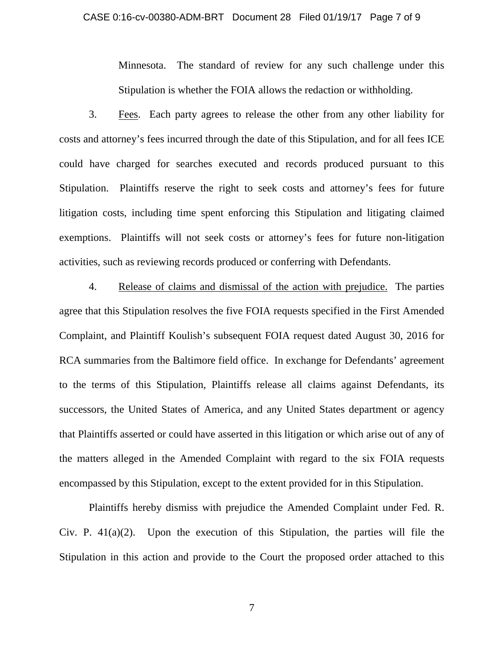### CASE 0:16-cv-00380-ADM-BRT Document 28 Filed 01/19/17 Page 7 of 9

Minnesota. The standard of review for any such challenge under this Stipulation is whether the FOIA allows the redaction or withholding.

3. Fees. Each party agrees to release the other from any other liability for costs and attorney's fees incurred through the date of this Stipulation, and for all fees ICE could have charged for searches executed and records produced pursuant to this Stipulation. Plaintiffs reserve the right to seek costs and attorney's fees for future litigation costs, including time spent enforcing this Stipulation and litigating claimed exemptions. Plaintiffs will not seek costs or attorney's fees for future non-litigation activities, such as reviewing records produced or conferring with Defendants.

4. Release of claims and dismissal of the action with prejudice. The parties agree that this Stipulation resolves the five FOIA requests specified in the First Amended Complaint, and Plaintiff Koulish's subsequent FOIA request dated August 30, 2016 for RCA summaries from the Baltimore field office. In exchange for Defendants' agreement to the terms of this Stipulation, Plaintiffs release all claims against Defendants, its successors, the United States of America, and any United States department or agency that Plaintiffs asserted or could have asserted in this litigation or which arise out of any of the matters alleged in the Amended Complaint with regard to the six FOIA requests encompassed by this Stipulation, except to the extent provided for in this Stipulation.

Plaintiffs hereby dismiss with prejudice the Amended Complaint under Fed. R. Civ. P.  $41(a)(2)$ . Upon the execution of this Stipulation, the parties will file the Stipulation in this action and provide to the Court the proposed order attached to this

7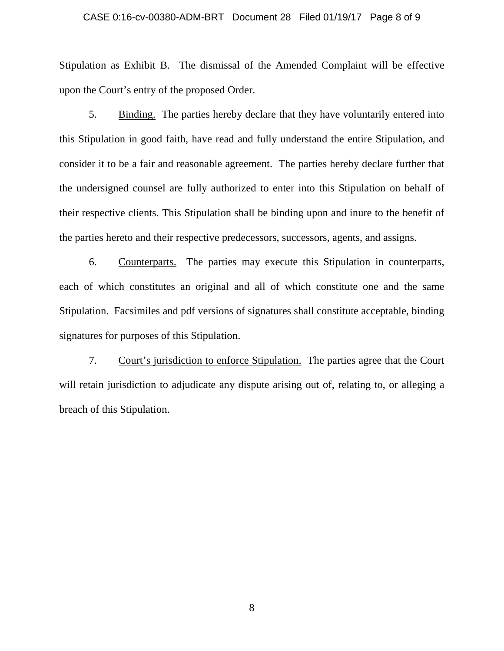### CASE 0:16-cv-00380-ADM-BRT Document 28 Filed 01/19/17 Page 8 of 9

Stipulation as Exhibit B. The dismissal of the Amended Complaint will be effective upon the Court's entry of the proposed Order.

5. Binding. The parties hereby declare that they have voluntarily entered into this Stipulation in good faith, have read and fully understand the entire Stipulation, and consider it to be a fair and reasonable agreement. The parties hereby declare further that the undersigned counsel are fully authorized to enter into this Stipulation on behalf of their respective clients. This Stipulation shall be binding upon and inure to the benefit of the parties hereto and their respective predecessors, successors, agents, and assigns.

6. Counterparts. The parties may execute this Stipulation in counterparts, each of which constitutes an original and all of which constitute one and the same Stipulation. Facsimiles and pdf versions of signatures shall constitute acceptable, binding signatures for purposes of this Stipulation.

7. Court's jurisdiction to enforce Stipulation. The parties agree that the Court will retain jurisdiction to adjudicate any dispute arising out of, relating to, or alleging a breach of this Stipulation.

8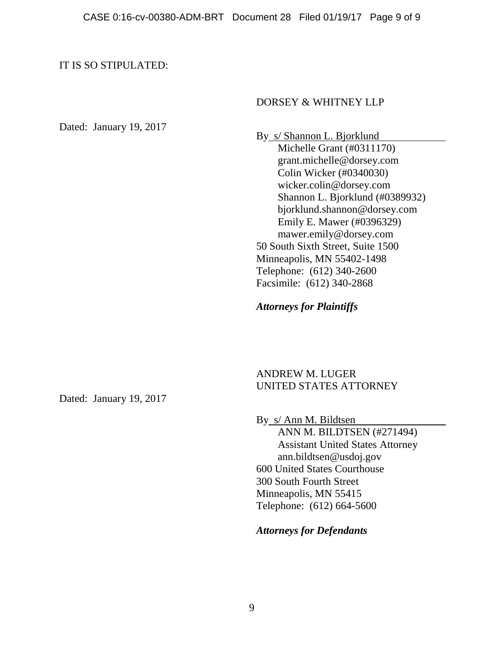## IT IS SO STIPULATED:

## DORSEY & WHITNEY LLP

Dated: January 19, 2017

By s/ Shannon L. Bjorklund Michelle Grant (#0311170) grant.michelle@dorsey.com Colin Wicker (#0340030) wicker.colin@dorsey.com Shannon L. Bjorklund (#0389932) bjorklund.shannon@dorsey.com Emily E. Mawer (#0396329) mawer.emily@dorsey.com 50 South Sixth Street, Suite 1500 Minneapolis, MN 55402-1498 Telephone: (612) 340-2600 Facsimile: (612) 340-2868

*Attorneys for Plaintiffs*

ANDREW M. LUGER UNITED STATES ATTORNEY

By s/ Ann M. Bildtsen ANN M. BILDTSEN (#271494) Assistant United States Attorney ann.bildtsen@usdoj.gov 600 United States Courthouse 300 South Fourth Street Minneapolis, MN 55415 Telephone: (612) 664-5600

*Attorneys for Defendants*

Dated: January 19, 2017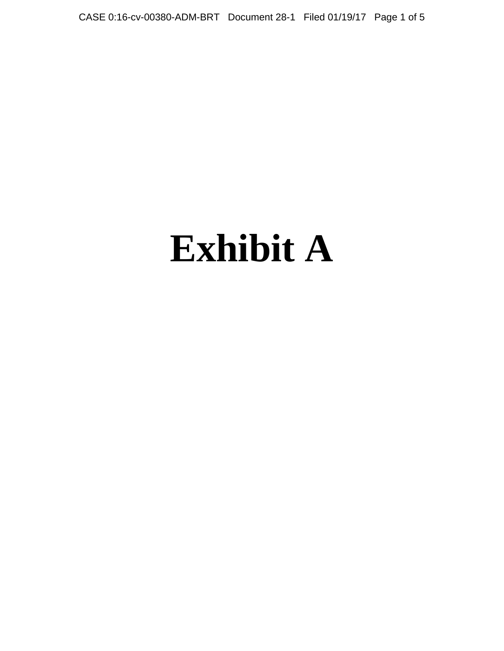CASE 0:16-cv-00380-ADM-BRT Document 28-1 Filed 01/19/17 Page 1 of 5

# **Exhibit A**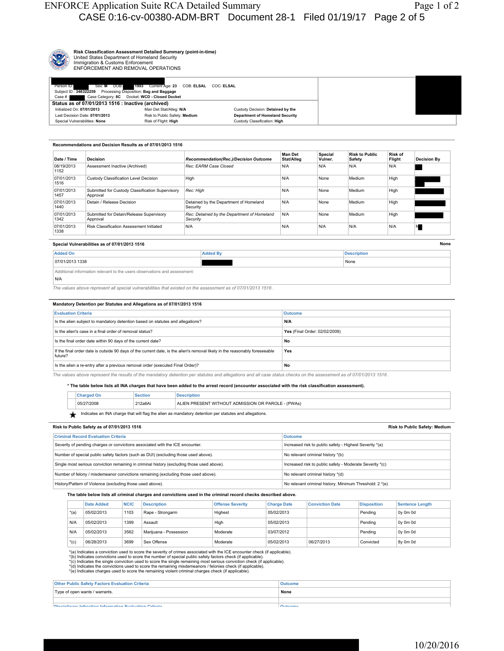

**Risk Classification Assessment Detailed Summary (point-in-time)** United States Department of Homeland Security Immigration & Customs Enforcement ENFORCEMENT AND REMOVAL OPERATIONS

| Sex: M DOB:<br>Person ID:                                     | 1993 Current Age: 23 COB: ELSAL COC: ELSAL    |                                        |
|---------------------------------------------------------------|-----------------------------------------------|----------------------------------------|
| Subject ID: 346322259 Processing Disposition: Bag and Baggage |                                               |                                        |
| Case #:                                                       | Case Category: 8C Docket: WCD - Closed Docket |                                        |
| Status as of 07/01/2013 1516 : Inactive (archived)            |                                               |                                        |
| Initialized On: 07/01/2013                                    | Man Det Stat/Alleg: N/A                       | Custody Decision: Detained by the      |
| Last Decision Date: 07/01/2013                                | Risk to Public Safety: Medium                 | <b>Department of Homeland Security</b> |
| Special Vulnerabilities: None                                 | Risk of Flight: High                          | Custody Classification: High           |
|                                                               |                                               |                                        |

#### **Recommendations and Decision Results as of 07/01/2013 1516**  08/19/2013 1152 **Assessment Inactive (Archived)** *Rec: EARM Case Closed* **N/A N/A N/A N/A N/A N/A N/A** N/A 07/01/2013 1516 Custody Classification Level Decision High High NIA None Medium High 07/01/2013 1457 Submitted for Custody Classification Supervisory Approval **Rec: High** High None Medium High 07/01/2013 1440 Detain / Release Decision Detained by the Department of Homeland Security N/A None Medium High 07/01/2013 1342 Submitted for Detain/Release Supervisory Approval *Rec: Detained by the Department of Homeland Security* N/A None Medium High 07/01/2013 1338 Risk Classification Assessment Initiated N/A N/A N/A N/A N/A N **Date / Time Decision** *Recommendation(Rec.)/Decision Outcome* **Man Det Stat/Alleg Special Vulner. Risk to Public Safety Risk of Decision By**

#### **Special Vulnerabilities as of 07/01/2013 1516**

| Special Vulnerabilities as of 07/01/2013 1516                                   |         |                    |  |  |
|---------------------------------------------------------------------------------|---------|--------------------|--|--|
| <b>Added On</b>                                                                 | Added i | <b>Description</b> |  |  |
| 07/01/2013 1338                                                                 |         | None               |  |  |
| the contract of the contract of the contract of the contract of the contract of |         |                    |  |  |

Additional information relevant to the users observations and assessment:

 $\vert_{N/\Delta}$ 

*The values above represent all special vulnerabilities that existed on the assessment as of 07/01/2013 1516 .* 

#### **Mandatory Detention per Statutes and Allegations as of 07/01/2013 1516**

| <b>Evaluation Criteria</b>                                                                                                             | <b>Outcome</b>                |
|----------------------------------------------------------------------------------------------------------------------------------------|-------------------------------|
| Is the alien subject to mandatory detention based on statutes and allegations?                                                         | N/A                           |
| Is the alien's case in a final order of removal status?                                                                                | Yes (Final Order: 02/02/2009) |
| Is the final order date within 90 days of the current date?                                                                            | No                            |
| If the final order date is outside 90 days of the current date, is the alien's removal likely in the reasonably foreseeable<br>future? | Yes                           |
| Is the alien a re-entry after a previous removal order (executed Final Order)?                                                         | No                            |

*The values above represent the results of the mandatory detention per statutes and allegations and all case status checks on the assessment as of 07/01/2013 1516 .* 

#### **\* The table below lists all INA charges that have been added to the arrest record (encounter associated with the risk classification assessment).**

|            |         | ≅¤uor.                                                         |
|------------|---------|----------------------------------------------------------------|
| 05/27/2008 | 212a6Ai | $\cdot$ (PWAs)<br>I OR PAROLE<br>. .<br>۱۷ لارې کړې<br>וועוכור |

Indicates an INA charge that will flag the alien as mandatory detention per statutes and allegations.

#### **Risk to Public Safety as of 07/01/2013 1516**

| <b>Criminal Record Evaluation Criteria</b>                                                 | <b>Outcome</b>                                           |
|--------------------------------------------------------------------------------------------|----------------------------------------------------------|
| Severity of pending charges or convictions associated with the ICE encounter.              | Increased risk to public safety - Highest Severity *(a)  |
| Number of special public safety factors (such as DUI) (excluding those used above).        | No relevant criminal history *(b)                        |
| Single most serious conviction remaining in criminal history (excluding those used above). | Increased risk to public safety - Moderate Severity *(c) |
| Number of felony / misdemeanor convictions remaining (excluding those used above).         | No relevant criminal history *(d)                        |
| History/Pattern of Violence (excluding those used above).                                  | No relevant criminal history. Minimum Threshold: 2 *(e)  |

#### **The table below lists all criminal charges and convictions used in the criminal record checks described above.**

|        | Date Added | <b>NCIC</b> | <b>Description</b>     | <b>Offense Severity</b> | <b>Charge Date</b> | <b>Conviction Date</b> | <b>Disposition</b> | <b>Sentence Length</b> |
|--------|------------|-------------|------------------------|-------------------------|--------------------|------------------------|--------------------|------------------------|
| $*(a)$ | 05/02/2013 | 1103        | Rape - Strongarm       | Highest                 | 05/02/2013         |                        | Pendina            | Oy Om Od               |
| N/A    | 05/02/2013 | 1399        | Assault                | High                    | 05/02/2013         |                        | Pending            | Ov 0m 0d               |
| N/A    | 05/02/2013 | 3562        | Mariiuana - Possession | Moderate                | 03/07/2012         |                        | Pendina            | Ov 0m 0d               |
| $*(c)$ | 06/28/2013 | 3699        | Sex Offense            | Moderate                | 05/02/2013         | 06/27/2013             | Convicted          | 8y 0m 0d               |

\*(a) Indicates a conviction used to score the severity of crimes associated with the ICE encounter check (if applicable).

\*(b) Indicates convictions used to score the number of special public safety factors check (if applicable).<br>\*(c) Indicates the single conviction used to score the single remaining most serious conviction check (if applicab

| <b>Other Public Safety Factors Evaluation Criteria</b>   | <b>Outcome</b>    |
|----------------------------------------------------------|-------------------|
| Type of open wants / warrants.                           | None              |
|                                                          |                   |
| Disciplinary Infraction Information Evaluation Oritorial | n <sub>time</sub> |

**Risk to Public Safety: Medium**